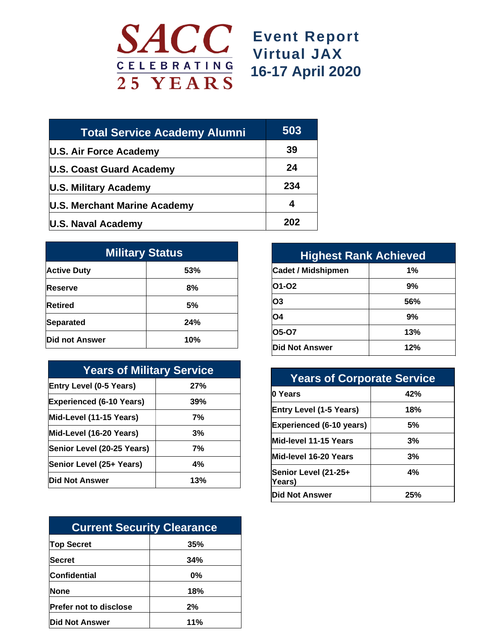

## **Event Report Virtual JAX 16-17 April 2020**

| <b>Total Service Academy Alumni</b> | 503 |
|-------------------------------------|-----|
| U.S. Air Force Academy              | 39  |
| U.S. Coast Guard Academy            | 24  |
| <b>U.S. Military Academy</b>        | 234 |
| U.S. Merchant Marine Academy        | 4   |
| <b>U.S. Naval Academy</b>           | 202 |

| <b>Military Status</b> |     |  |
|------------------------|-----|--|
| <b>Active Duty</b>     | 53% |  |
| <b>IReserve</b>        | 8%  |  |
| <b>Retired</b>         | 5%  |  |
| Separated              | 24% |  |
| Did not Answer         | 10% |  |

| <b>Years of Military Service</b> |     |  |
|----------------------------------|-----|--|
| <b>Entry Level (0-5 Years)</b>   | 27% |  |
| <b>Experienced (6-10 Years)</b>  | 39% |  |
| Mid-Level (11-15 Years)          | 7%  |  |
| Mid-Level (16-20 Years)          | 3%  |  |
| Senior Level (20-25 Years)       | 7%  |  |
| Senior Level (25+ Years)         | 4%  |  |
| Did Not Answer                   | 13% |  |

| <b>Current Security Clearance</b> |     |  |
|-----------------------------------|-----|--|
| <b>Top Secret</b>                 | 35% |  |
| Secret                            | 34% |  |
| Confidential                      | 0%  |  |
| <b>None</b>                       | 18% |  |
| <b>Prefer not to disclose</b>     | 2%  |  |
| <b>Did Not Answer</b>             | 11% |  |

| <b>Highest Rank Achieved</b> |     |  |
|------------------------------|-----|--|
| <b>Cadet / Midshipmen</b>    | 1%  |  |
| 01-02                        | 9%  |  |
| O3                           | 56% |  |
| <b>O4</b>                    | 9%  |  |
| 05-07                        | 13% |  |
| Did Not Answer               | 12% |  |

| <b>Years of Corporate Service</b> |     |  |
|-----------------------------------|-----|--|
| <b>0 Years</b>                    | 42% |  |
| <b>Entry Level (1-5 Years)</b>    | 18% |  |
| <b>Experienced (6-10 years)</b>   | 5%  |  |
| Mid-level 11-15 Years             | 3%  |  |
| Mid-level 16-20 Years             | 3%  |  |
| Senior Level (21-25+<br>Years)    | 4%  |  |
| <b>Did Not Answer</b>             | 25% |  |